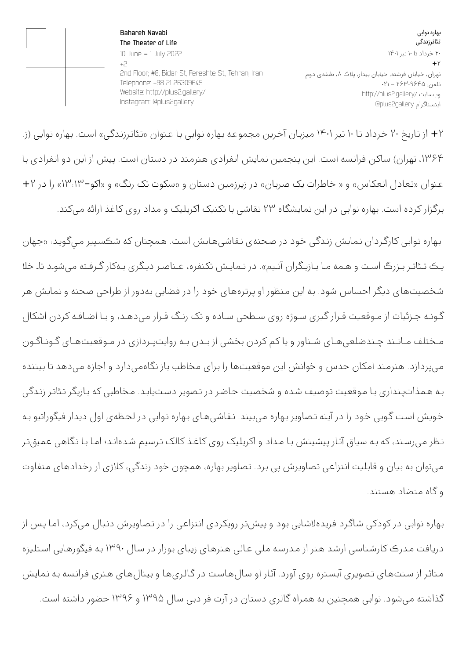بهاره نوابی تئاترزندگی ۲۰ خرداد تا ۱۰ تیر ۱۴۰۱  $+$ ۲ تهران، خیابان فرشته، خیابان بیدار، پلاک ۸، طبقهی دوم تلفن: ۲۶۳۰۹۶۴۵ - ۰۲۱ http://plus2.gallery/ وبسایت @plus2gallery اینستاگرام

**Bahareh Navabi The Theater of Life**  10 June - 1 July 2022 +2 2nd Floor, #8, Bidar St, Fereshte St., Tehran, Iran Telephone: +98 21 26309645 Website: http://plus2.gallery/ Instagram: @plus2gallery

+۲ از تـاریخ ۲۰ خـرداد تـا ۱۰ تیر ۱۴۰۱ میزبـان آخـرین مجـموعـه بـهاره نـوابی بـا عـنوان «تـئاتـرزنـدگی» اسـت. بـهاره نـوایی (ز. ،۱۳۶۴ تهـران) سـاکن فـرانـسه اسـت. این پنجـمین نـمایش انـفرادی هـنرمـند در دسـتان اسـت. پیش از این دو انـفرادی بـا عـنوان «تـعادل انعکاس» و « خـاطـرات یک ضـربـان» در زیرزمین دسـتان و «سکوت تک رنـگ» و «اکو۱۳:۱۳-» را در +۲ برگزار کرده است. بهاره نوابی در این نمایشگاه ۲۳ نقاشی با تکنیک اکریلیک و مداد روی کاغذ ارائه میکند.

بـهاره نـوابی کارگـردان نـمایش زنـدگی خـود در صـحنهی نـقاشیهـایش اسـت. هـمچنان که شكسـپير مـيگـويـد: «جـهان يـك تـئاتـر بـزرگ اسـت و هـمه مـا بـازيـگران آنـيم». در نـمايـش تکنفره، عـناصـر ديـگری بـهکار گـرفـته میشوـد تاـ خلا شـخصيتهـای ديـگر احـساس شـود. بـه این مـنظور او پـرتـرههـای خـود را در فـضایی بـهدور از طـراحی صـحنه و نـمایش هـر گـونـه جـزئیات از مـوقعیت قـرار گیری سـوژه روی سـطحی سـاده و تک رنـگ قـرار میدهـد، و بـا اضـافـه کردن اشکال مـختلف مـانـند چـندضلعیهـای شـناور و یا کم کردن بخشی از بـدن بـه روایتپـردازی در مـوقعیتهـای گـونـاگـون میپـردازد. هـنرمـند امکان حـدس و خـوانـش این مـوقعیتهـا را بـرای مـخاطـب بـاز نـگاهمیدارد و اجـازه میدهـد تـا بیننده بـه هـمذاتپـنداری بـا مـوقعیت تـوصیف شـده و شخصیت حـاضـر در تـصویر دسـتیابـد. مـخاطبی که بـازیگر تـئاتـر زنـدگی خـویش اسـت گـویی خـود را در آینه تـصاویر بـهاره میبیند. نـقاشیهـای بـهاره نـوابی در لحـظهی اول دیدار فیگوراتیو بـه نـظر میرسـند، که بـه سیاق آثـار پیشینش بـا مـداد و اکریلیک روی کاغـذ کالک تـرسیم شـدهانـد؛ امـا بـا نـگاهی عمیقتـر میتـوان بـه بیان و قـابلیت انـتزاعی تـصاویرش پی بـرد. تـصاویر بـهاره، هـمچون خـود زنـدگی، کلاژی از رخـدادهـای مـتفاوت و گاه متضاد هستند.

بـهاره نـوابی در کودکی شـاگـرد فـریدهلاشـایی بـود و پیشتـر رویکردی انـتزاعی را در تـصاویرش دنـبال میکرد، امـا پـس از دریافـت مـدرک کارشـناسی ارشـد هـنر از مـدرسـه ملی عـالی هـنرهـای زیبای بـوزار در سـال 1390 بـه فیگورهـایی اسـتلیزه مـتاثـر از سـنتـهـای تـصویری آبسـتره روی آورد. آثـار او سـالهـاسـت در گـالـریهـا و بینالهـای هـنری فـرانـسه بـه نـمایش گذاشته میشود. نوابی همچنین به همراه گالری دستان در آرت فر دبی سال ۱۳۹۵ و ۱۳۹۶ حضور داشته است.